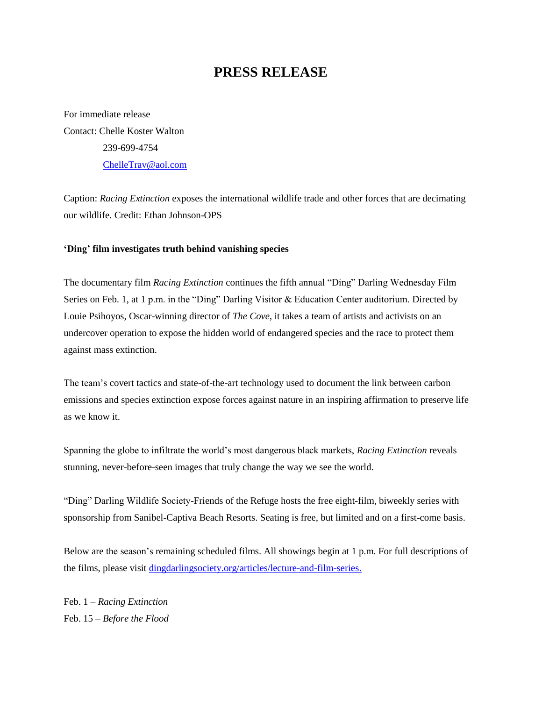## **PRESS RELEASE**

For immediate release Contact: Chelle Koster Walton 239-699-4754 [ChelleTrav@aol.com](mailto:ChelleTrav@aol.com)

Caption: *Racing Extinction* exposes the international wildlife trade and other forces that are decimating our wildlife. Credit: Ethan Johnson-OPS

## **'Ding' film investigates truth behind vanishing species**

The documentary film *Racing Extinction* continues the fifth annual "Ding" Darling Wednesday Film Series on Feb. 1, at 1 p.m. in the "Ding" Darling Visitor & Education Center auditorium. Directed by Louie Psihoyos, Oscar-winning director of *The Cove*, it takes a team of artists and activists on an undercover operation to expose the hidden world of endangered species and the race to protect them against mass extinction.

The team's covert tactics and state-of-the-art technology used to document the link between carbon emissions and species extinction expose forces against nature in an inspiring affirmation to preserve life as we know it.

Spanning the globe to infiltrate the world's most dangerous black markets, *Racing Extinction* reveals stunning, never-before-seen images that truly change the way we see the world.

"Ding" Darling Wildlife Society-Friends of the Refuge hosts the free eight-film, biweekly series with sponsorship from Sanibel-Captiva Beach Resorts. Seating is free, but limited and on a first-come basis.

Below are the season's remaining scheduled films. All showings begin at 1 p.m. For full descriptions of the films, please visit [dingdarlingsociety.org/articles/lecture-and-film-series.](http://www.dingdarlingsociety.org/films)

Feb. 1 – *Racing Extinction* Feb. 15 – *Before the Flood*